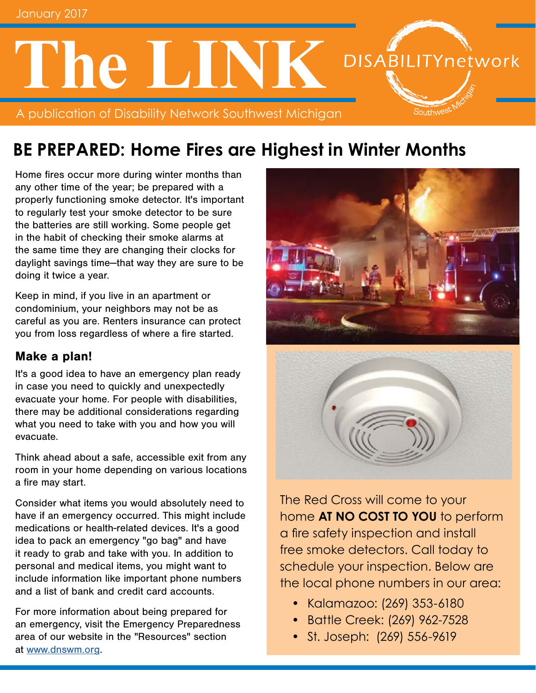# **DISABILITYnetwork The LINK** A publication of Disability Network Southwest Michigan Southwes<sup>t</sup>

# **BE PREPARED: Home Fires are Highest in Winter Months**

Home fires occur more during winter months than any other time of the year; be prepared with a properly functioning smoke detector. It's important to regularly test your smoke detector to be sure the batteries are still working. Some people get in the habit of checking their smoke alarms at the same time they are changing their clocks for daylight savings time—that way they are sure to be doing it twice a year.

Keep in mind, if you live in an apartment or condominium, your neighbors may not be as careful as you are. Renters insurance can protect you from loss regardless of where a fire started.

### Make a plan!

It's a good idea to have an emergency plan ready in case you need to quickly and unexpectedly evacuate your home. For people with disabilities, there may be additional considerations regarding what you need to take with you and how you will evacuate.

Think ahead about a safe, accessible exit from any room in your home depending on various locations a fire may start.

Consider what items you would absolutely need to have if an emergency occurred. This might include medications or health-related devices. It's a good idea to pack an emergency "go bag" and have it ready to grab and take with you. In addition to personal and medical items, you might want to include information like important phone numbers and a list of bank and credit card accounts.

For more information about being prepared for an emergency, visit the Emergency Preparedness area of our website in the "Resources" section at [www.dnswm.org](http://www.dnswm.org/).



The Red Cross will come to your home **AT NO COST TO YOU** to perform a fire safety inspection and install free smoke detectors. Call today to schedule your inspection. Below are the local phone numbers in our area:

- Kalamazoo: (269) 353-6180
- Battle Creek: (269) 962-7528
- St. Joseph: (269) 556-9619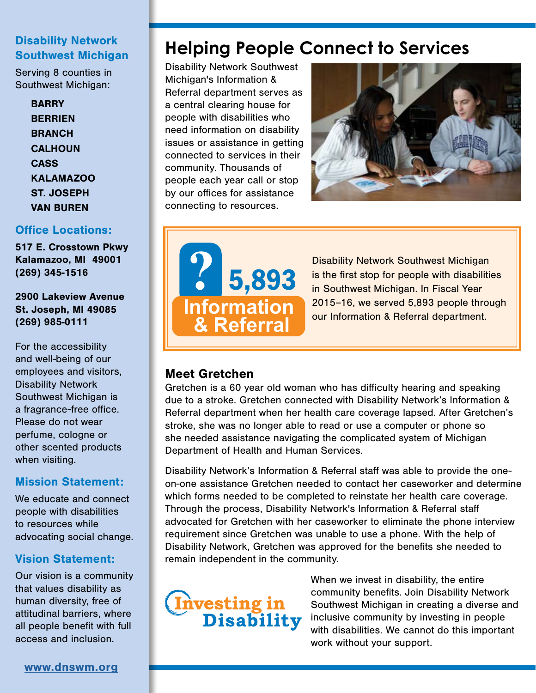#### Disability Network Southwest Michigan

Serving 8 counties in Southwest Michigan:

> **BARRY BERRIEN BRANCH CALHOUN** CASS KALAMAZOO ST. JOSEPH VAN BUREN

#### Office Locations:

517 E. Crosstown Pkwy Kalamazoo, MI 49001 (269) 345-1516

2900 Lakeview Avenue St. Joseph, MI 49085 (269) 985-0111

For the accessibility and well-being of our employees and visitors, Disability Network Southwest Michigan is a fragrance-free office. Please do not wear perfume, cologne or other scented products when visiting.

### Mission Statement:

We educate and connect people with disabilities to resources while advocating social change.

### Vision Statement:

Our vision is a community that values disability as human diversity, free of attitudinal barriers, where all people benefit with full access and inclusion.

# **Helping People Connect to Services**

Disability Network Southwest Michigan's Information & Referral department serves as a central clearing house for people with disabilities who need information on disability issues or assistance in getting connected to services in their community. Thousands of people each year call or stop by our offices for assistance connecting to resources.





**Independent Building Support Building Support Ramps Building Support Ramps Building Support Ramps Building Support Ramps Building Support Ramps Building Support Ramps Building Support Ramps Building Support Ramps Building** en Southwest Michigan. In Fiscal Year<br>2015–16, we served 5,893 people thre Disability Network Southwest Michigan is the first stop for people with disabilities 2015–16, we served 5,893 people through our Information & Referral department.

### Meet Gretchen

**Meet Gretchen**<br>Gretchen is a 60 year old woman who has difficulty hearing and speaking due to a stroke. Gretchen connected with Disability Network's Information & **Veterans** Referral department when her health care coverage lapsed. After Gretchen's stroke, she was no longer able to read or use a computer or phone so **Independent Living** she needed assistance navigating the complicated system of Michigan **Supports** Department of Health and Human Services. **Benefits** Co

Disability Network's Information & Referral staff was able to provide the oneon-one assistance Gretchen needed to contact her caseworker and determine which forms needed to be completed to reinstate her health care coverage. which forms needed to be completed to reinstate her health care cove<br>Through the process, Disability Network's Information & Referral staff advocated for Gretchen with her caseworker to eliminate the phone interview requirement since Gretchen was unable to use a phone. With the help of Disability Network, Gretchen was approved for the benefits she needed to remain independent in the community. with her d<br>1en was i<br>hen was



When we invest in disability, the entire community benefits. Join Disability Network Southwest Michigan in creating a diverse and inclusive community by investing in people with disabilities. We cannot do this important<br>work without your support. work without your support. **Presentations**<br> **Presentations** 

**Transitioned Out**

[www.dnswm.org](http://www.dnswm.org/)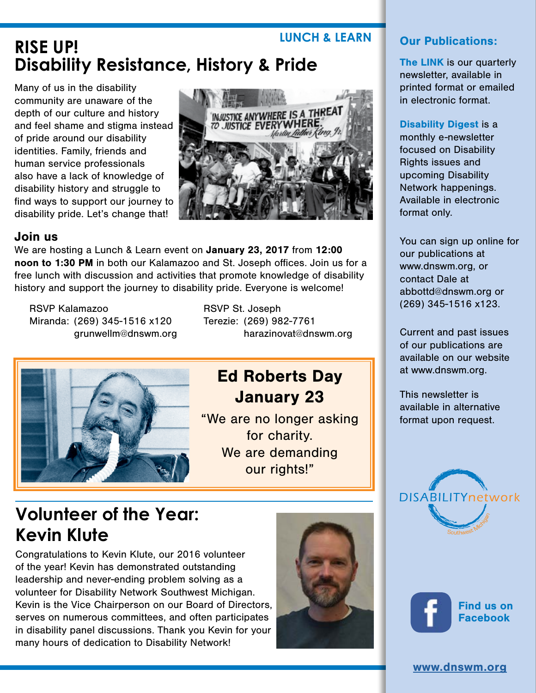# **RISE UP!** LUNCH & LEARN **Disability Resistance, History & Pride**

Many of us in the disability community are unaware of the depth of our culture and history and feel shame and stigma instead of pride around our disability identities. Family, friends and human service professionals also have a lack of knowledge of disability history and struggle to find ways to support our journey to disability pride. Let's change that!



### Join us

We are hosting a Lunch & Learn event on January 23, 2017 from 12:00 noon to 1:30 PM in both our Kalamazoo and St. Joseph offices. Join us for a free lunch with discussion and activities that promote knowledge of disability history and support the journey to disability pride. Everyone is welcome!

RSVP Kalamazoo RSVP St. Joseph Miranda: (269) 345-1516 x120 Terezie: (269) 982-7761

grunwellm@dnswm.org harazinovat@dnswm.org



### Ed Roberts Day January 23

"We are no longer asking for charity. We are demanding our rights!"

# **Volunteer of the Year: Kevin Klute**

Congratulations to Kevin Klute, our 2016 volunteer of the year! Kevin has demonstrated outstanding leadership and never-ending problem solving as a volunteer for Disability Network Southwest Michigan. Kevin is the Vice Chairperson on our Board of Directors, serves on numerous committees, and often participates in disability panel discussions. Thank you Kevin for your many hours of dedication to Disability Network!



### Our Publications:

The LINK is our quarterly newsletter, available in printed format or emailed in electronic format.

#### Disability Digest is a

monthly e-newsletter focused on Disability Rights issues and upcoming Disability Network happenings. Available in electronic format only.

You can sign up online for our publications at www.dnswm.org, or contact Dale at abbottd@dnswm.org or (269) 345-1516 x123.

Current and past issues of our publications are available on our website at www.dnswm.org.

This newsletter is available in alternative format upon request.





[Find us on](https://www.facebook.com/DNSWM/) Facebook